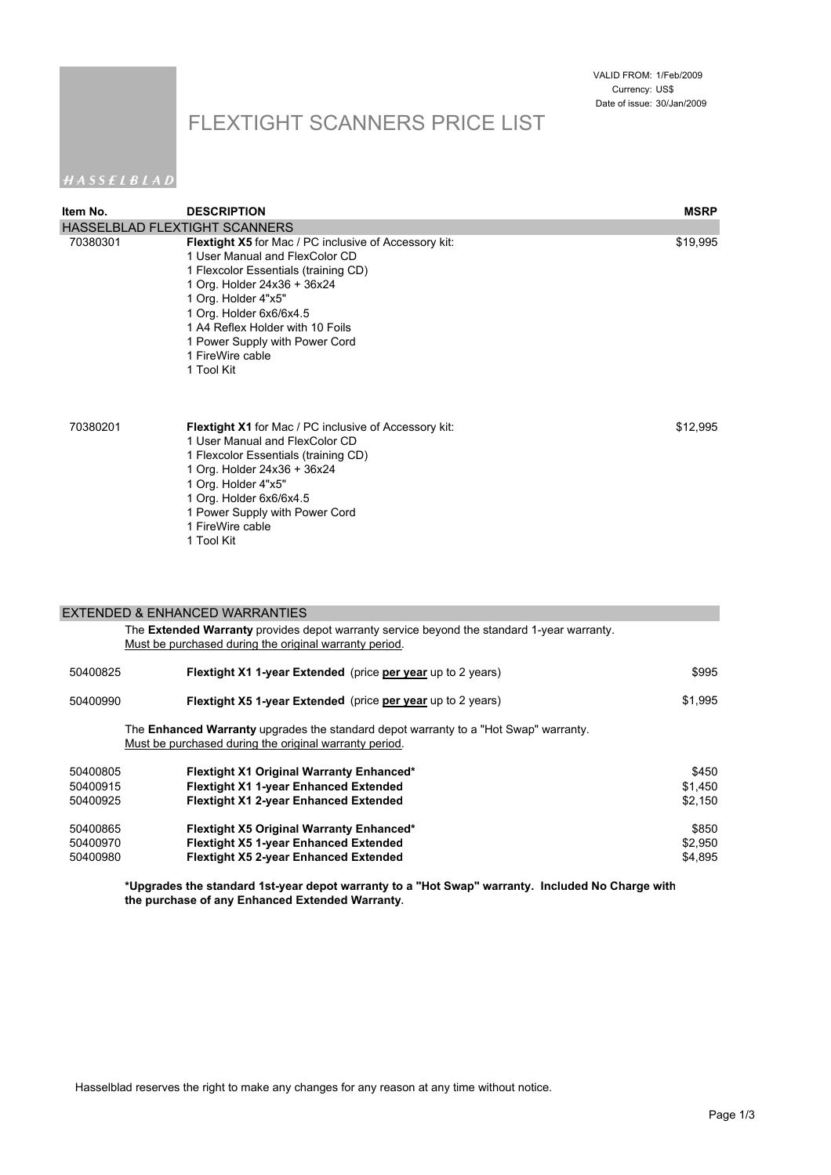## FLEXTIGHT SCANNERS PRICE LIST

### HASSELBLAD

| Item No. | <b>DESCRIPTION</b>                                                                                                                                                                                                                                                                                                              | <b>MSRP</b> |
|----------|---------------------------------------------------------------------------------------------------------------------------------------------------------------------------------------------------------------------------------------------------------------------------------------------------------------------------------|-------------|
|          | HASSELBLAD FLEXTIGHT SCANNERS                                                                                                                                                                                                                                                                                                   |             |
| 70380301 | <b>Flextight X5</b> for Mac / PC inclusive of Accessory kit:<br>1 User Manual and FlexColor CD<br>1 Flexcolor Essentials (training CD)<br>1 Org. Holder 24x36 + 36x24<br>1 Org. Holder 4"x5"<br>1 Org. Holder 6x6/6x4.5<br>1 A4 Reflex Holder with 10 Foils<br>1 Power Supply with Power Cord<br>1 FireWire cable<br>1 Tool Kit | \$19,995    |
| 70380201 | Flextight X1 for Mac / PC inclusive of Accessory kit:<br>1 User Manual and FlexColor CD<br>1 Flexcolor Essentials (training CD)<br>1 Org. Holder 24x36 + 36x24<br>1 Org. Holder 4"x5"<br>1 Org. Holder 6x6/6x4.5<br>1 Power Supply with Power Cord<br>1 FireWire cable<br>1 Tool Kit                                            | \$12,995    |
|          | <b>EXTENDED &amp; ENHANCED WARRANTIES</b>                                                                                                                                                                                                                                                                                       |             |
|          | The Extended Warranty provides depot warranty service beyond the standard 1-year warranty.<br>Must be purchased during the original warranty period.                                                                                                                                                                            |             |
| 50400825 | Flextight X1 1-year Extended (price per year up to 2 years)                                                                                                                                                                                                                                                                     | \$995       |
| 50400990 | Flextight X5 1-year Extended (price per year up to 2 years)                                                                                                                                                                                                                                                                     | \$1,995     |
|          | The <b>Enhanced Warranty</b> upgrades the standard depot warranty to a "Hot Swap" warranty.<br>Must be purchased during the original warranty period.                                                                                                                                                                           |             |

| 50400805 | <b>Flextight X1 Original Warranty Enhanced*</b> | \$450   |
|----------|-------------------------------------------------|---------|
| 50400915 | <b>Flextight X1 1-year Enhanced Extended</b>    | \$1.450 |
| 50400925 | <b>Flextight X1 2-year Enhanced Extended</b>    | \$2.150 |
| 50400865 | <b>Flextight X5 Original Warranty Enhanced*</b> | \$850   |
| 50400970 | <b>Flextight X5 1-year Enhanced Extended</b>    | \$2.950 |
| 50400980 | <b>Flextight X5 2-year Enhanced Extended</b>    | \$4.895 |

**\*Upgrades the standard 1st-year depot warranty to a "Hot Swap" warranty. Included No Charge with the purchase of any Enhanced Extended Warranty.**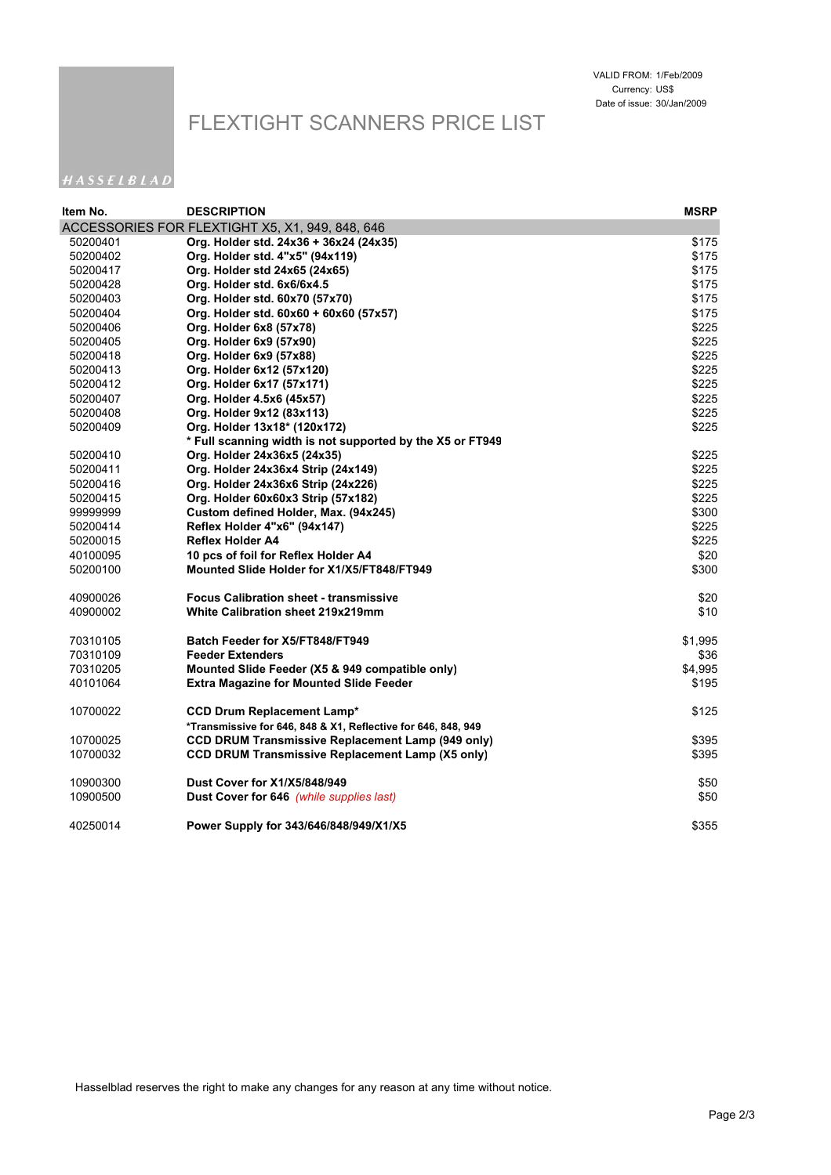# FLEXTIGHT SCANNERS PRICE LIST

### HASSELBLAD

| ltem No. | <b>DESCRIPTION</b>                                            | <b>MSRP</b> |
|----------|---------------------------------------------------------------|-------------|
|          | ACCESSORIES FOR FLEXTIGHT X5, X1, 949, 848, 646               |             |
| 50200401 | Org. Holder std. 24x36 + 36x24 (24x35)                        | \$175       |
| 50200402 | Org. Holder std. 4"x5" (94x119)                               | \$175       |
| 50200417 | Org. Holder std 24x65 (24x65)                                 | \$175       |
| 50200428 | Org. Holder std. 6x6/6x4.5                                    | \$175       |
| 50200403 | Org. Holder std. 60x70 (57x70)                                | \$175       |
| 50200404 | Org. Holder std. 60x60 + 60x60 (57x57)                        | \$175       |
| 50200406 | Org. Holder 6x8 (57x78)                                       | \$225       |
| 50200405 | Org. Holder 6x9 (57x90)                                       | \$225       |
| 50200418 | Org. Holder 6x9 (57x88)                                       | \$225       |
| 50200413 | Org. Holder 6x12 (57x120)                                     | \$225       |
| 50200412 | Org. Holder 6x17 (57x171)                                     | \$225       |
| 50200407 | Org. Holder 4.5x6 (45x57)                                     | \$225       |
| 50200408 | Org. Holder 9x12 (83x113)                                     | \$225       |
| 50200409 | Org. Holder 13x18* (120x172)                                  | \$225       |
|          | * Full scanning width is not supported by the X5 or FT949     |             |
| 50200410 | Org. Holder 24x36x5 (24x35)                                   | \$225       |
| 50200411 | Org. Holder 24x36x4 Strip (24x149)                            | \$225       |
| 50200416 | Org. Holder 24x36x6 Strip (24x226)                            | \$225       |
| 50200415 | Org. Holder 60x60x3 Strip (57x182)                            | \$225       |
| 99999999 | Custom defined Holder, Max. (94x245)                          | \$300       |
| 50200414 | <b>Reflex Holder 4"x6" (94x147)</b>                           | \$225       |
| 50200015 | <b>Reflex Holder A4</b>                                       | \$225       |
| 40100095 | 10 pcs of foil for Reflex Holder A4                           | \$20        |
| 50200100 | Mounted Slide Holder for X1/X5/FT848/FT949                    | \$300       |
| 40900026 | <b>Focus Calibration sheet - transmissive</b>                 | \$20        |
| 40900002 | White Calibration sheet 219x219mm                             | \$10        |
| 70310105 | Batch Feeder for X5/FT848/FT949                               | \$1,995     |
| 70310109 | <b>Feeder Extenders</b>                                       | \$36        |
| 70310205 | Mounted Slide Feeder (X5 & 949 compatible only)               | \$4,995     |
| 40101064 | <b>Extra Magazine for Mounted Slide Feeder</b>                | \$195       |
| 10700022 | <b>CCD Drum Replacement Lamp*</b>                             | \$125       |
|          | *Transmissive for 646, 848 & X1, Reflective for 646, 848, 949 |             |
| 10700025 | <b>CCD DRUM Transmissive Replacement Lamp (949 only)</b>      | \$395       |
| 10700032 | <b>CCD DRUM Transmissive Replacement Lamp (X5 only)</b>       | \$395       |
| 10900300 | <b>Dust Cover for X1/X5/848/949</b>                           | \$50        |
| 10900500 |                                                               | \$50        |
|          | Dust Cover for 646 (while supplies last)                      |             |
| 40250014 | Power Supply for 343/646/848/949/X1/X5                        | \$355       |
|          |                                                               |             |

Hasselblad reserves the right to make any changes for any reason at any time without notice.